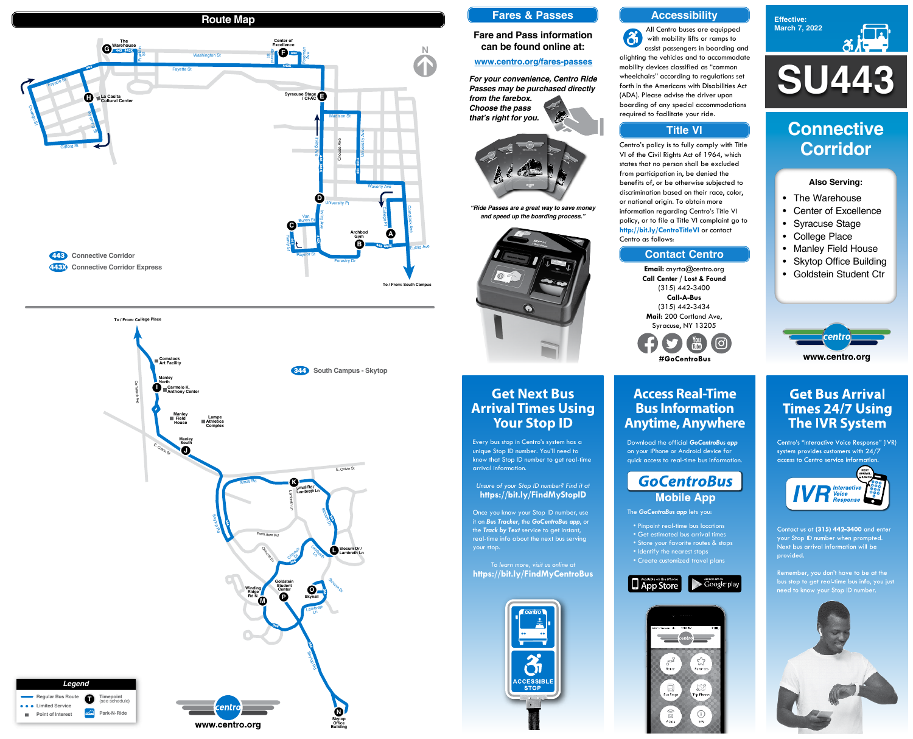

### **Effective: March 7, 2022**



### **Also Serving:**

- The Warehouse
- Center of Excellence
- Syracuse Stage
- College Place
- Manley Field House
- Skytop Office Building
- Goldstein Student Ctr



## **Get Bus Arrival Times 24/7 Using The IVR System**

Centro's "Interactive Voice Response" (IVR) system provides customers with  $24/7$ access to Centro service information.



Contact us at (315) 442-3400 and enter your Stop ID number when prompted. Next bus arrival information will be provided.

Remember, you don't have to be at the bus stop to get real-time bus info, you just need to know your Stop ID number.



# **Connective Corridor**

# **Get Next Bus Arrival Times Using Your Stop ID**

Every bus stop in Centro's system has a unique Stop ID number. You'll need to know that Stop ID number to get real-time arrival information.

*Unsure of your Stop ID number? Find it at* **https://bit.ly/FindMyStopID**

Once you know your Stop ID number, use it on *Bus Tracker*, the *GoCentroBus app*, or the *Track by Text* service to get instant, real-time info about the next bus serving your stop.

*To learn more, visit us online at* **https://bit.ly/FindMyCentroBus**



# **Access Real-Time Bus Information Anytime, Anywhere**

Download the official *GoCentroBus app* on your iPhone or Android device for quick access to real-time bus information.

# **GoCentroBus Mobile App**

The *GoCentroBus app* lets you:

- Pinpoint real-time bus locations
- Get estimated bus arrival times
- Store your favorite routes & stops  $\blacksquare$
- Identify the nearest stops
- Create customized travel plans











#### **Contact Centro**

#### **Title VI**

All Centro buses are equipped  $\mathbf{G}$ with mobility lifts or ramps to assist passengers in boarding and alighting the vehicles and to accommodate mobility devices classified as "common wheelchairs" according to regulations set forth in the Americans with Disabilities Act (ADA). Please advise the driver upon boarding of any special accommodations required to facilitate your ride.

Centro's policy is to fully comply with Title VI of the Civil Rights Act of 1964, which states that no person shall be excluded from participation in, be denied the benefits of, or be otherwise subjected to discrimination based on their race, color, or national origin. To obtain more information regarding Centro's Title VI policy, or to file a Title VI complaint go to **http://bit.ly/CentroTitleVI** or contact Centro as follows:

> **Email:** cnyrta@centro.org **Call Center / Lost & Found** (315) 442-3400 **Call-A-Bus** (315) 442-3434 **Mail:** 200 Cortland Ave, Syracuse, NY 13205





### **Fare and Pass information can be found online at:**

#### **www.centro.org/fares-passes**

*For your convenience, Centro Ride Passes may be purchased directly from the farebox. Choose the pass*



*"Ride Passes are a great way to save money and speed up the boarding process."*